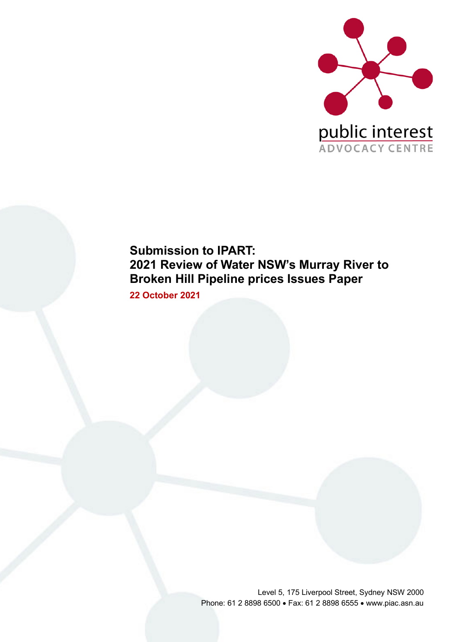

# **Submission to IPART: 2021 Review of Water NSW's Murray River to Broken Hill Pipeline prices Issues Paper**

**22 October 2021**

Level 5, 175 Liverpool Street, Sydney NSW 2000 Phone: 61 2 8898 6500 • Fax: 61 2 8898 6555 • www.piac.asn.au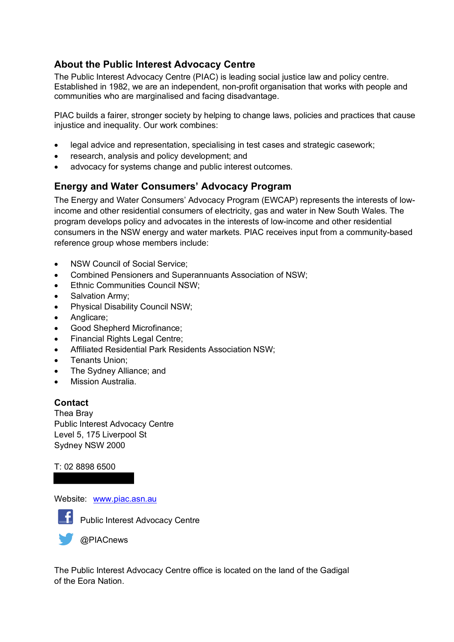### **About the Public Interest Advocacy Centre**

The Public Interest Advocacy Centre (PIAC) is leading social justice law and policy centre. Established in 1982, we are an independent, non-profit organisation that works with people and communities who are marginalised and facing disadvantage.

PIAC builds a fairer, stronger society by helping to change laws, policies and practices that cause injustice and inequality. Our work combines:

- legal advice and representation, specialising in test cases and strategic casework;
- research, analysis and policy development; and
- advocacy for systems change and public interest outcomes.

### **Energy and Water Consumers' Advocacy Program**

The Energy and Water Consumers' Advocacy Program (EWCAP) represents the interests of lowincome and other residential consumers of electricity, gas and water in New South Wales. The program develops policy and advocates in the interests of low-income and other residential consumers in the NSW energy and water markets. PIAC receives input from a community-based reference group whose members include:

- NSW Council of Social Service:
- Combined Pensioners and Superannuants Association of NSW;
- Ethnic Communities Council NSW;
- Salvation Army;
- Physical Disability Council NSW;
- Anglicare;
- Good Shepherd Microfinance;
- Financial Rights Legal Centre;
- Affiliated Residential Park Residents Association NSW;
- Tenants Union;
- The Sydney Alliance; and
- Mission Australia.

#### **Contact**

Thea Bray Public Interest Advocacy Centre Level 5, 175 Liverpool St Sydney NSW 2000

#### T: 02 8898 6500

Website: www.piac.asn.au



Public Interest Advocacy Centre



**@PIACnews** 

The Public Interest Advocacy Centre office is located on the land of the Gadigal of the Eora Nation.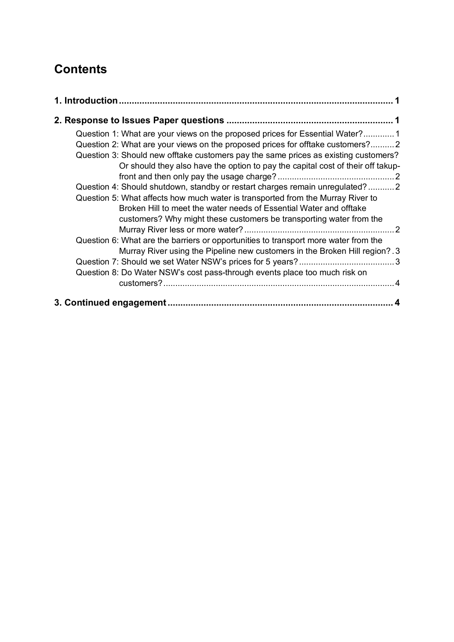# **Contents**

| Question 1: What are your views on the proposed prices for Essential Water?1<br>Question 2: What are your views on the proposed prices for offtake customers?2<br>Question 3: Should new offtake customers pay the same prices as existing customers?<br>Or should they also have the option to pay the capital cost of their off takup- |  |
|------------------------------------------------------------------------------------------------------------------------------------------------------------------------------------------------------------------------------------------------------------------------------------------------------------------------------------------|--|
|                                                                                                                                                                                                                                                                                                                                          |  |
| Question 4: Should shutdown, standby or restart charges remain unregulated?2<br>Question 5: What affects how much water is transported from the Murray River to<br>Broken Hill to meet the water needs of Essential Water and offtake<br>customers? Why might these customers be transporting water from the                             |  |
| Question 6: What are the barriers or opportunities to transport more water from the<br>Murray River using the Pipeline new customers in the Broken Hill region? .3                                                                                                                                                                       |  |
| Question 8: Do Water NSW's cost pass-through events place too much risk on                                                                                                                                                                                                                                                               |  |
|                                                                                                                                                                                                                                                                                                                                          |  |
|                                                                                                                                                                                                                                                                                                                                          |  |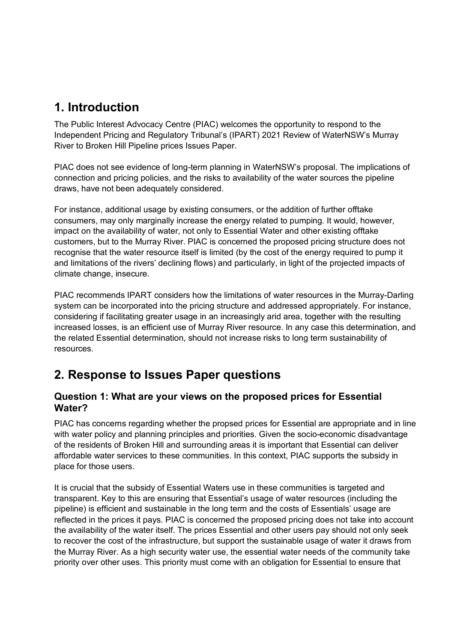## **1. Introduction**

The Public Interest Advocacy Centre (PIAC) welcomes the opportunity to respond to the Independent Pricing and Regulatory Tribunal's (IPART) 2021 Review of WaterNSW's Murray River to Broken Hill Pipeline prices Issues Paper.

PIAC does not see evidence of long-term planning in WaterNSW's proposal. The implications of connection and pricing policies, and the risks to availability of the water sources the pipeline draws, have not been adequately considered.

For instance, additional usage by existing consumers, or the addition of further offtake consumers, may only marginally increase the energy related to pumping. It would, however, impact on the availability of water, not only to Essential Water and other existing offtake customers, but to the Murray River. PIAC is concerned the proposed pricing structure does not recognise that the water resource itself is limited (by the cost of the energy required to pump it and limitations of the rivers' declining flows) and particularly, in light of the projected impacts of climate change, insecure.

PIAC recommends IPART considers how the limitations of water resources in the Murray-Darling system can be incorporated into the pricing structure and addressed appropriately. For instance, considering if facilitating greater usage in an increasingly arid area, together with the resulting increased losses, is an efficient use of Murray River resource. In any case this determination, and the related Essential determination, should not increase risks to long term sustainability of resources.

## **2. Response to Issues Paper questions**

### **Question 1: What are your views on the proposed prices for Essential Water?**

PIAC has concerns regarding whether the propsed prices for Essential are appropriate and in line with water policy and planning principles and priorities. Given the socio-economic disadvantage of the residents of Broken Hill and surrounding areas it is important that Essential can deliver affordable water services to these communities. In this context, PIAC supports the subsidy in place for those users.

It is crucial that the subsidy of Essential Waters use in these communities is targeted and transparent. Key to this are ensuring that Essential's usage of water resources (including the pipeline) is efficient and sustainable in the long term and the costs of Essentials' usage are reflected in the prices it pays. PIAC is concerned the proposed pricing does not take into account the availability of the water itself. The prices Essential and other users pay should not only seek to recover the cost of the infrastructure, but support the sustainable usage of water it draws from the Murray River. As a high security water use, the essential water needs of the community take priority over other uses. This priority must come with an obligation for Essential to ensure that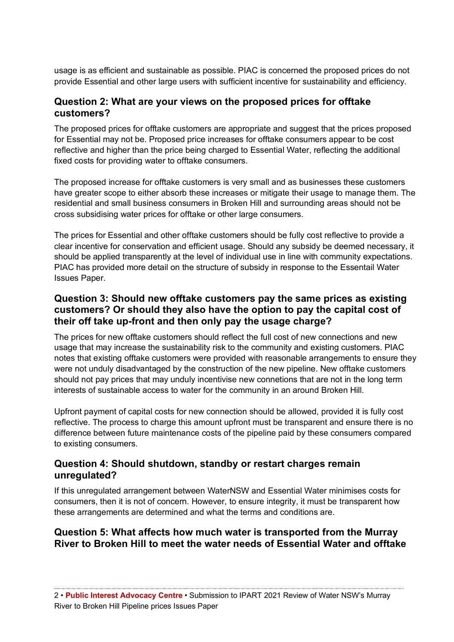usage is as efficient and sustainable as possible. PIAC is concerned the proposed prices do not provide Essential and other large users with sufficient incentive for sustainability and efficiency.

#### **Question 2: What are your views on the proposed prices for offtake customers?**

The proposed prices for offtake customers are appropriate and suggest that the prices proposed for Essential may not be. Proposed price increases for offtake consumers appear to be cost reflective and higher than the price being charged to Essential Water, reflecting the additional fixed costs for providing water to offtake consumers.

The proposed increase for offtake customers is very small and as businesses these customers have greater scope to either absorb these increases or mitigate their usage to manage them. The residential and small business consumers in Broken Hill and surrounding areas should not be cross subsidising water prices for offtake or other large consumers.

The prices for Essential and other offtake customers should be fully cost reflective to provide a clear incentive for conservation and efficient usage. Should any subsidy be deemed necessary, it should be applied transparently at the level of individual use in line with community expectations. PIAC has provided more detail on the structure of subsidy in response to the Essentail Water Issues Paper.

### **Question 3: Should new offtake customers pay the same prices as existing customers? Or should they also have the option to pay the capital cost of their off take up-front and then only pay the usage charge?**

The prices for new offtake customers should reflect the full cost of new connections and new usage that may increase the sustainability risk to the community and existing customers. PIAC notes that existing offtake customers were provided with reasonable arrangements to ensure they were not unduly disadvantaged by the construction of the new pipeline. New offtake customers should not pay prices that may unduly incentivise new connetions that are not in the long term interests of sustainable access to water for the community in an around Broken Hill.

Upfront payment of capital costs for new connection should be allowed, provided it is fully cost reflective. The process to charge this amount upfront must be transparent and ensure there is no difference between future maintenance costs of the pipeline paid by these consumers compared to existing consumers.

### **Question 4: Should shutdown, standby or restart charges remain unregulated?**

If this unregulated arrangement between WaterNSW and Essential Water minimises costs for consumers, then it is not of concern. However, to ensure integrity, it must be transparent how these arrangements are determined and what the terms and conditions are.

### **Question 5: What affects how much water is transported from the Murray River to Broken Hill to meet the water needs of Essential Water and offtake**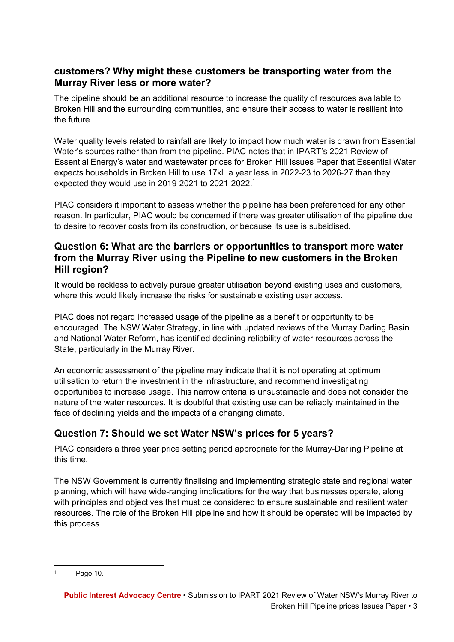#### **customers? Why might these customers be transporting water from the Murray River less or more water?**

The pipeline should be an additional resource to increase the quality of resources available to Broken Hill and the surrounding communities, and ensure their access to water is resilient into the future.

Water quality levels related to rainfall are likely to impact how much water is drawn from Essential Water's sources rather than from the pipeline. PIAC notes that in IPART's 2021 Review of Essential Energy's water and wastewater prices for Broken Hill Issues Paper that Essential Water expects households in Broken Hill to use 17kL a year less in 2022-23 to 2026-27 than they expected they would use in 2019-2021 to 2021-2022.<sup>1</sup>

PIAC considers it important to assess whether the pipeline has been preferenced for any other reason. In particular, PIAC would be concerned if there was greater utilisation of the pipeline due to desire to recover costs from its construction, or because its use is subsidised.

#### **Question 6: What are the barriers or opportunities to transport more water from the Murray River using the Pipeline to new customers in the Broken Hill region?**

It would be reckless to actively pursue greater utilisation beyond existing uses and customers, where this would likely increase the risks for sustainable existing user access.

PIAC does not regard increased usage of the pipeline as a benefit or opportunity to be encouraged. The NSW Water Strategy, in line with updated reviews of the Murray Darling Basin and National Water Reform, has identified declining reliability of water resources across the State, particularly in the Murray River.

An economic assessment of the pipeline may indicate that it is not operating at optimum utilisation to return the investment in the infrastructure, and recommend investigating opportunities to increase usage. This narrow criteria is unsustainable and does not consider the nature of the water resources. It is doubtful that existing use can be reliably maintained in the face of declining yields and the impacts of a changing climate.

### **Question 7: Should we set Water NSW's prices for 5 years?**

PIAC considers a three year price setting period appropriate for the Murray-Darling Pipeline at this time.

The NSW Government is currently finalising and implementing strategic state and regional water planning, which will have wide-ranging implications for the way that businesses operate, along with principles and objectives that must be considered to ensure sustainable and resilient water resources. The role of the Broken Hill pipeline and how it should be operated will be impacted by this process.

Page 10.

**Public Interest Advocacy Centre** • Submission to IPART 2021 Review of Water NSW's Murray River to Broken Hill Pipeline prices Issues Paper • 3